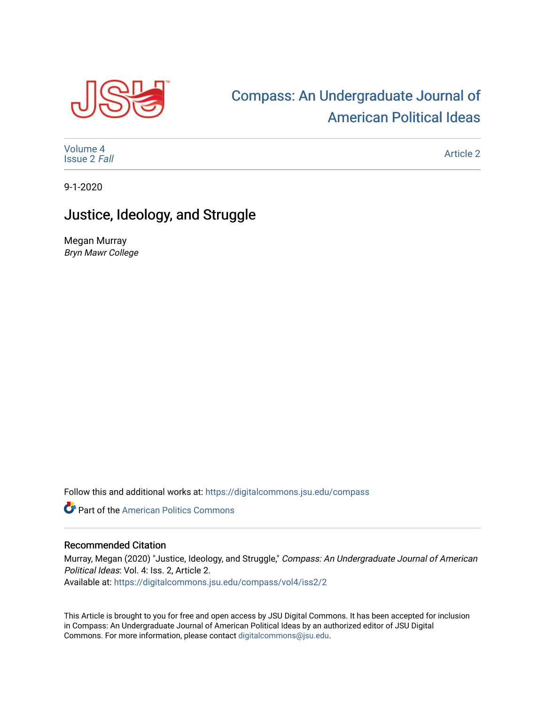

# [Compass: An Undergraduate Journal of](https://digitalcommons.jsu.edu/compass)  [American Political Ideas](https://digitalcommons.jsu.edu/compass)

[Volume 4](https://digitalcommons.jsu.edu/compass/vol4) [Issue 2](https://digitalcommons.jsu.edu/compass/vol4/iss2) Fall

[Article 2](https://digitalcommons.jsu.edu/compass/vol4/iss2/2) 

9-1-2020

## Justice, Ideology, and Struggle

Megan Murray Bryn Mawr College

Follow this and additional works at: [https://digitalcommons.jsu.edu/compass](https://digitalcommons.jsu.edu/compass?utm_source=digitalcommons.jsu.edu%2Fcompass%2Fvol4%2Fiss2%2F2&utm_medium=PDF&utm_campaign=PDFCoverPages)

**Part of the American Politics Commons** 

#### Recommended Citation

Murray, Megan (2020) "Justice, Ideology, and Struggle," Compass: An Undergraduate Journal of American Political Ideas: Vol. 4: Iss. 2, Article 2. Available at: [https://digitalcommons.jsu.edu/compass/vol4/iss2/2](https://digitalcommons.jsu.edu/compass/vol4/iss2/2?utm_source=digitalcommons.jsu.edu%2Fcompass%2Fvol4%2Fiss2%2F2&utm_medium=PDF&utm_campaign=PDFCoverPages)

This Article is brought to you for free and open access by JSU Digital Commons. It has been accepted for inclusion in Compass: An Undergraduate Journal of American Political Ideas by an authorized editor of JSU Digital Commons. For more information, please contact [digitalcommons@jsu.edu.](mailto:digitalcommons@jsu.edu)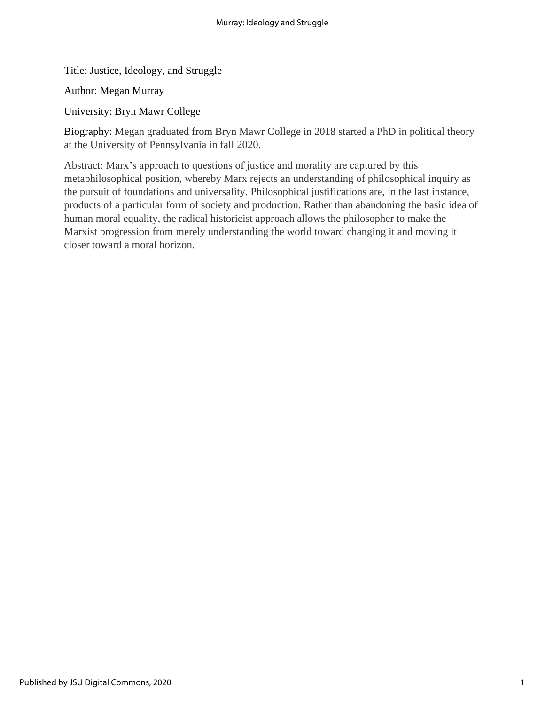Title: Justice, Ideology, and Struggle

Author: Megan Murray

University: Bryn Mawr College

Biography: Megan graduated from Bryn Mawr College in 2018 started a PhD in political theory at the University of Pennsylvania in fall 2020.

Abstract: Marx's approach to questions of justice and morality are captured by this metaphilosophical position, whereby Marx rejects an understanding of philosophical inquiry as the pursuit of foundations and universality. Philosophical justifications are, in the last instance, products of a particular form of society and production. Rather than abandoning the basic idea of human moral equality, the radical historicist approach allows the philosopher to make the Marxist progression from merely understanding the world toward changing it and moving it closer toward a moral horizon.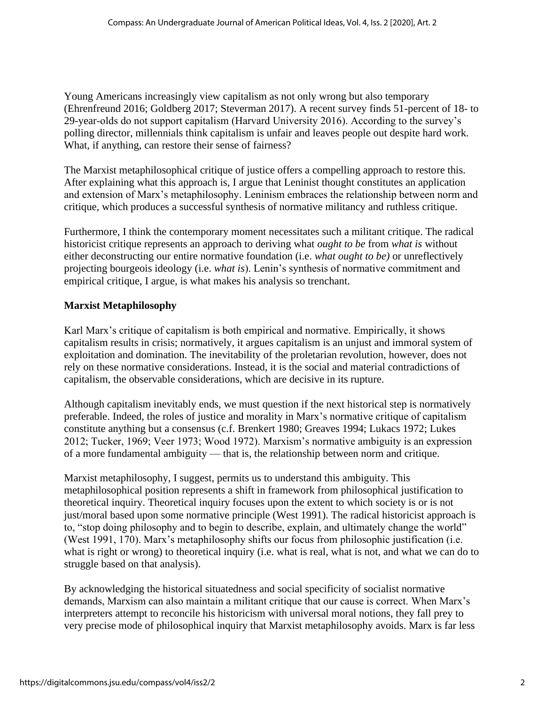Young Americans increasingly view capitalism as not only wrong but also temporary (Ehrenfreund 2016; Goldberg 2017; Steverman 2017). A recent survey finds 51-percent of 18- to 29-year-olds do not support capitalism (Harvard University 2016). According to the survey's polling director, millennials think capitalism is unfair and leaves people out despite hard work. What, if anything, can restore their sense of fairness?

The Marxist metaphilosophical critique of justice offers a compelling approach to restore this. After explaining what this approach is, I argue that Leninist thought constitutes an application and extension of Marx's metaphilosophy. Leninism embraces the relationship between norm and critique, which produces a successful synthesis of normative militancy and ruthless critique.

Furthermore, I think the contemporary moment necessitates such a militant critique. The radical historicist critique represents an approach to deriving what *ought to be* from *what is* without either deconstructing our entire normative foundation (i.e. *what ought to be)* or unreflectively projecting bourgeois ideology (i.e. *what is*). Lenin's synthesis of normative commitment and empirical critique, I argue, is what makes his analysis so trenchant.

## **Marxist Metaphilosophy**

Karl Marx's critique of capitalism is both empirical and normative. Empirically, it shows capitalism results in crisis; normatively, it argues capitalism is an unjust and immoral system of exploitation and domination. The inevitability of the proletarian revolution, however, does not rely on these normative considerations. Instead, it is the social and material contradictions of capitalism, the observable considerations, which are decisive in its rupture.

Although capitalism inevitably ends, we must question if the next historical step is normatively preferable. Indeed, the roles of justice and morality in Marx's normative critique of capitalism constitute anything but a consensus (c.f. Brenkert 1980; Greaves 1994; Lukacs 1972; Lukes 2012; Tucker, 1969; Veer 1973; Wood 1972). Marxism's normative ambiguity is an expression of a more fundamental ambiguity — that is, the relationship between norm and critique.

Marxist metaphilosophy, I suggest, permits us to understand this ambiguity. This metaphilosophical position represents a shift in framework from philosophical justification to theoretical inquiry. Theoretical inquiry focuses upon the extent to which society is or is not just/moral based upon some normative principle (West 1991). The radical historicist approach is to, "stop doing philosophy and to begin to describe, explain, and ultimately change the world" (West 1991, 170). Marx's metaphilosophy shifts our focus from philosophic justification (i.e. what is right or wrong) to theoretical inquiry (i.e. what is real, what is not, and what we can do to struggle based on that analysis).

By acknowledging the historical situatedness and social specificity of socialist normative demands, Marxism can also maintain a militant critique that our cause is correct. When Marx's interpreters attempt to reconcile his historicism with universal moral notions, they fall prey to very precise mode of philosophical inquiry that Marxist metaphilosophy avoids. Marx is far less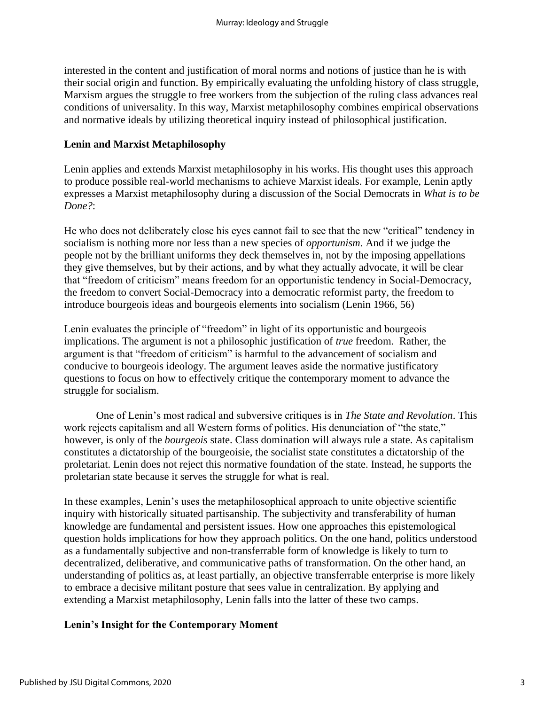interested in the content and justification of moral norms and notions of justice than he is with their social origin and function. By empirically evaluating the unfolding history of class struggle, Marxism argues the struggle to free workers from the subjection of the ruling class advances real conditions of universality. In this way, Marxist metaphilosophy combines empirical observations and normative ideals by utilizing theoretical inquiry instead of philosophical justification.

#### **Lenin and Marxist Metaphilosophy**

Lenin applies and extends Marxist metaphilosophy in his works. His thought uses this approach to produce possible real-world mechanisms to achieve Marxist ideals. For example, Lenin aptly expresses a Marxist metaphilosophy during a discussion of the Social Democrats in *What is to be Done?*:

He who does not deliberately close his eyes cannot fail to see that the new "critical" tendency in socialism is nothing more nor less than a new species of *opportunism*. And if we judge the people not by the brilliant uniforms they deck themselves in, not by the imposing appellations they give themselves, but by their actions, and by what they actually advocate, it will be clear that "freedom of criticism" means freedom for an opportunistic tendency in Social-Democracy, the freedom to convert Social-Democracy into a democratic reformist party, the freedom to introduce bourgeois ideas and bourgeois elements into socialism (Lenin 1966, 56)

Lenin evaluates the principle of "freedom" in light of its opportunistic and bourgeois implications. The argument is not a philosophic justification of *true* freedom. Rather, the argument is that "freedom of criticism" is harmful to the advancement of socialism and conducive to bourgeois ideology. The argument leaves aside the normative justificatory questions to focus on how to effectively critique the contemporary moment to advance the struggle for socialism.

 One of Lenin's most radical and subversive critiques is in *The State and Revolution*. This work rejects capitalism and all Western forms of politics. His denunciation of "the state," however, is only of the *bourgeois* state. Class domination will always rule a state. As capitalism constitutes a dictatorship of the bourgeoisie, the socialist state constitutes a dictatorship of the proletariat. Lenin does not reject this normative foundation of the state. Instead, he supports the proletarian state because it serves the struggle for what is real.

In these examples, Lenin's uses the metaphilosophical approach to unite objective scientific inquiry with historically situated partisanship. The subjectivity and transferability of human knowledge are fundamental and persistent issues. How one approaches this epistemological question holds implications for how they approach politics. On the one hand, politics understood as a fundamentally subjective and non-transferrable form of knowledge is likely to turn to decentralized, deliberative, and communicative paths of transformation. On the other hand, an understanding of politics as, at least partially, an objective transferrable enterprise is more likely to embrace a decisive militant posture that sees value in centralization. By applying and extending a Marxist metaphilosophy, Lenin falls into the latter of these two camps.

#### **Lenin's Insight for the Contemporary Moment**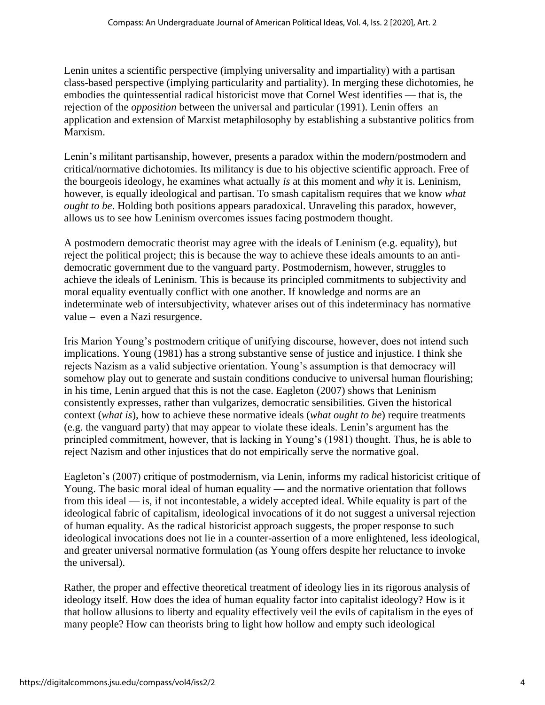Lenin unites a scientific perspective (implying universality and impartiality) with a partisan class-based perspective (implying particularity and partiality). In merging these dichotomies, he embodies the quintessential radical historicist move that Cornel West identifies — that is, the rejection of the *opposition* between the universal and particular (1991). Lenin offers an application and extension of Marxist metaphilosophy by establishing a substantive politics from Marxism.

Lenin's militant partisanship, however, presents a paradox within the modern/postmodern and critical/normative dichotomies. Its militancy is due to his objective scientific approach. Free of the bourgeois ideology, he examines what actually *is* at this moment and *why* it is. Leninism, however, is equally ideological and partisan. To smash capitalism requires that we know *what ought to be*. Holding both positions appears paradoxical. Unraveling this paradox, however, allows us to see how Leninism overcomes issues facing postmodern thought.

A postmodern democratic theorist may agree with the ideals of Leninism (e.g. equality), but reject the political project; this is because the way to achieve these ideals amounts to an antidemocratic government due to the vanguard party. Postmodernism, however, struggles to achieve the ideals of Leninism. This is because its principled commitments to subjectivity and moral equality eventually conflict with one another. If knowledge and norms are an indeterminate web of intersubjectivity, whatever arises out of this indeterminacy has normative value – even a Nazi resurgence.

Iris Marion Young's postmodern critique of unifying discourse, however, does not intend such implications. Young (1981) has a strong substantive sense of justice and injustice. I think she rejects Nazism as a valid subjective orientation. Young's assumption is that democracy will somehow play out to generate and sustain conditions conducive to universal human flourishing: in his time, Lenin argued that this is not the case. Eagleton (2007) shows that Leninism consistently expresses, rather than vulgarizes, democratic sensibilities. Given the historical context (*what is*), how to achieve these normative ideals (*what ought to be*) require treatments (e.g. the vanguard party) that may appear to violate these ideals. Lenin's argument has the principled commitment, however, that is lacking in Young's (1981) thought. Thus, he is able to reject Nazism and other injustices that do not empirically serve the normative goal.

Eagleton's (2007) critique of postmodernism, via Lenin, informs my radical historicist critique of Young. The basic moral ideal of human equality — and the normative orientation that follows from this ideal — is, if not incontestable, a widely accepted ideal. While equality is part of the ideological fabric of capitalism, ideological invocations of it do not suggest a universal rejection of human equality. As the radical historicist approach suggests, the proper response to such ideological invocations does not lie in a counter-assertion of a more enlightened, less ideological, and greater universal normative formulation (as Young offers despite her reluctance to invoke the universal).

Rather, the proper and effective theoretical treatment of ideology lies in its rigorous analysis of ideology itself. How does the idea of human equality factor into capitalist ideology? How is it that hollow allusions to liberty and equality effectively veil the evils of capitalism in the eyes of many people? How can theorists bring to light how hollow and empty such ideological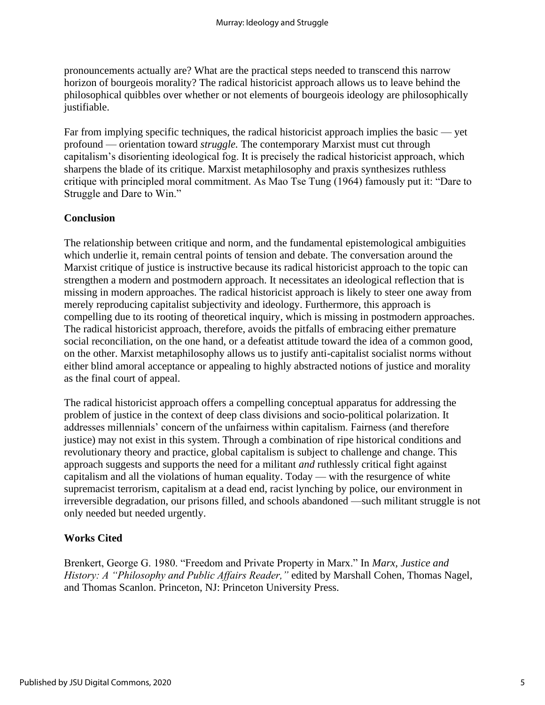pronouncements actually are? What are the practical steps needed to transcend this narrow horizon of bourgeois morality? The radical historicist approach allows us to leave behind the philosophical quibbles over whether or not elements of bourgeois ideology are philosophically justifiable.

Far from implying specific techniques, the radical historicist approach implies the basic — yet profound — orientation toward *struggle.* The contemporary Marxist must cut through capitalism's disorienting ideological fog. It is precisely the radical historicist approach, which sharpens the blade of its critique. Marxist metaphilosophy and praxis synthesizes ruthless critique with principled moral commitment. As Mao Tse Tung (1964) famously put it: "Dare to Struggle and Dare to Win."

### **Conclusion**

The relationship between critique and norm, and the fundamental epistemological ambiguities which underlie it, remain central points of tension and debate. The conversation around the Marxist critique of justice is instructive because its radical historicist approach to the topic can strengthen a modern and postmodern approach. It necessitates an ideological reflection that is missing in modern approaches. The radical historicist approach is likely to steer one away from merely reproducing capitalist subjectivity and ideology. Furthermore, this approach is compelling due to its rooting of theoretical inquiry, which is missing in postmodern approaches. The radical historicist approach, therefore, avoids the pitfalls of embracing either premature social reconciliation, on the one hand, or a defeatist attitude toward the idea of a common good, on the other. Marxist metaphilosophy allows us to justify anti-capitalist socialist norms without either blind amoral acceptance or appealing to highly abstracted notions of justice and morality as the final court of appeal.

The radical historicist approach offers a compelling conceptual apparatus for addressing the problem of justice in the context of deep class divisions and socio-political polarization. It addresses millennials' concern of the unfairness within capitalism. Fairness (and therefore justice) may not exist in this system. Through a combination of ripe historical conditions and revolutionary theory and practice, global capitalism is subject to challenge and change. This approach suggests and supports the need for a militant *and* ruthlessly critical fight against capitalism and all the violations of human equality. Today — with the resurgence of white supremacist terrorism, capitalism at a dead end, racist lynching by police, our environment in irreversible degradation, our prisons filled, and schools abandoned —such militant struggle is not only needed but needed urgently.

## **Works Cited**

Brenkert, George G. 1980. "Freedom and Private Property in Marx." In *Marx, Justice and History: A "Philosophy and Public Affairs Reader,"* edited by Marshall Cohen, Thomas Nagel, and Thomas Scanlon. Princeton, NJ: Princeton University Press.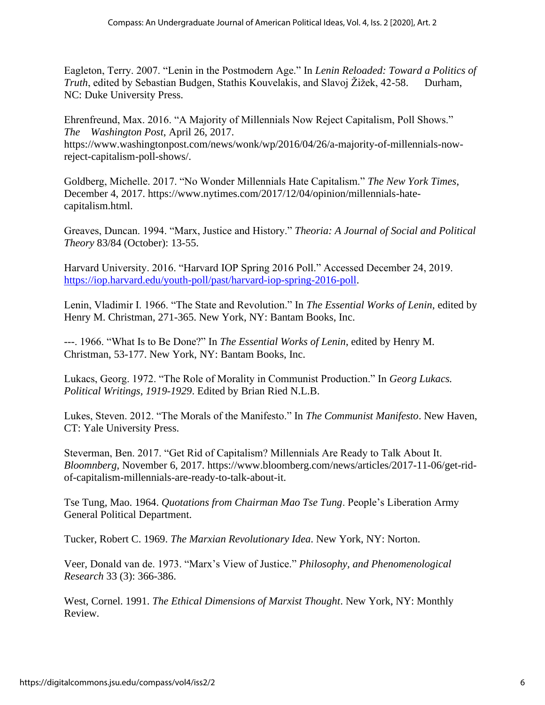Eagleton, Terry. 2007. "Lenin in the Postmodern Age." In *Lenin Reloaded: Toward a Politics of Truth*, edited by Sebastian Budgen, Stathis Kouvelakis, and Slavoj Žižek, 42-58. Durham, NC: Duke University Press.

Ehrenfreund, Max. 2016. "A Majority of Millennials Now Reject Capitalism, Poll Shows." *The Washington Post*, April 26, 2017. https://www.washingtonpost.com/news/wonk/wp/2016/04/26/a-majority-of-millennials-nowreject-capitalism-poll-shows/.

Goldberg, Michelle. 2017. "No Wonder Millennials Hate Capitalism." *The New York Times*, December 4, 2017. https://www.nytimes.com/2017/12/04/opinion/millennials-hatecapitalism.html.

Greaves, Duncan. 1994. "Marx, Justice and History." *Theoria: A Journal of Social and Political Theory* 83/84 (October): 13-55.

Harvard University. 2016. "Harvard IOP Spring 2016 Poll." Accessed December 24, 2019. [https://iop.harvard.edu/youth-poll/past/harvard-iop-spring-2016-poll.](https://iop.harvard.edu/youth-poll/past/harvard-iop-spring-2016-poll)

Lenin, Vladimir I. 1966. "The State and Revolution." In *The Essential Works of Lenin*, edited by Henry M. Christman, 271-365. New York, NY: Bantam Books, Inc.

---. 1966. "What Is to Be Done?" In *The Essential Works of Lenin*, edited by Henry M. Christman, 53-177. New York, NY: Bantam Books, Inc.

Lukacs, Georg. 1972. "The Role of Morality in Communist Production." In *Georg Lukacs. Political Writings, 1919-1929*. Edited by Brian Ried N.L.B.

Lukes, Steven. 2012. "The Morals of the Manifesto." In *The Communist Manifesto*. New Haven, CT: Yale University Press.

Steverman, Ben. 2017. "Get Rid of Capitalism? Millennials Are Ready to Talk About It. *Bloomnberg*, November 6, 2017. https://www.bloomberg.com/news/articles/2017-11-06/get-ridof-capitalism-millennials-are-ready-to-talk-about-it.

Tse Tung, Mao. 1964. *Quotations from Chairman Mao Tse Tung*. People's Liberation Army General Political Department.

Tucker, Robert C. 1969. *The Marxian Revolutionary Idea*. New York, NY: Norton.

Veer, Donald van de. 1973. "Marx's View of Justice." *Philosophy, and Phenomenological Research* 33 (3): 366-386.

West, Cornel. 1991. *The Ethical Dimensions of Marxist Thought*. New York, NY: Monthly Review.